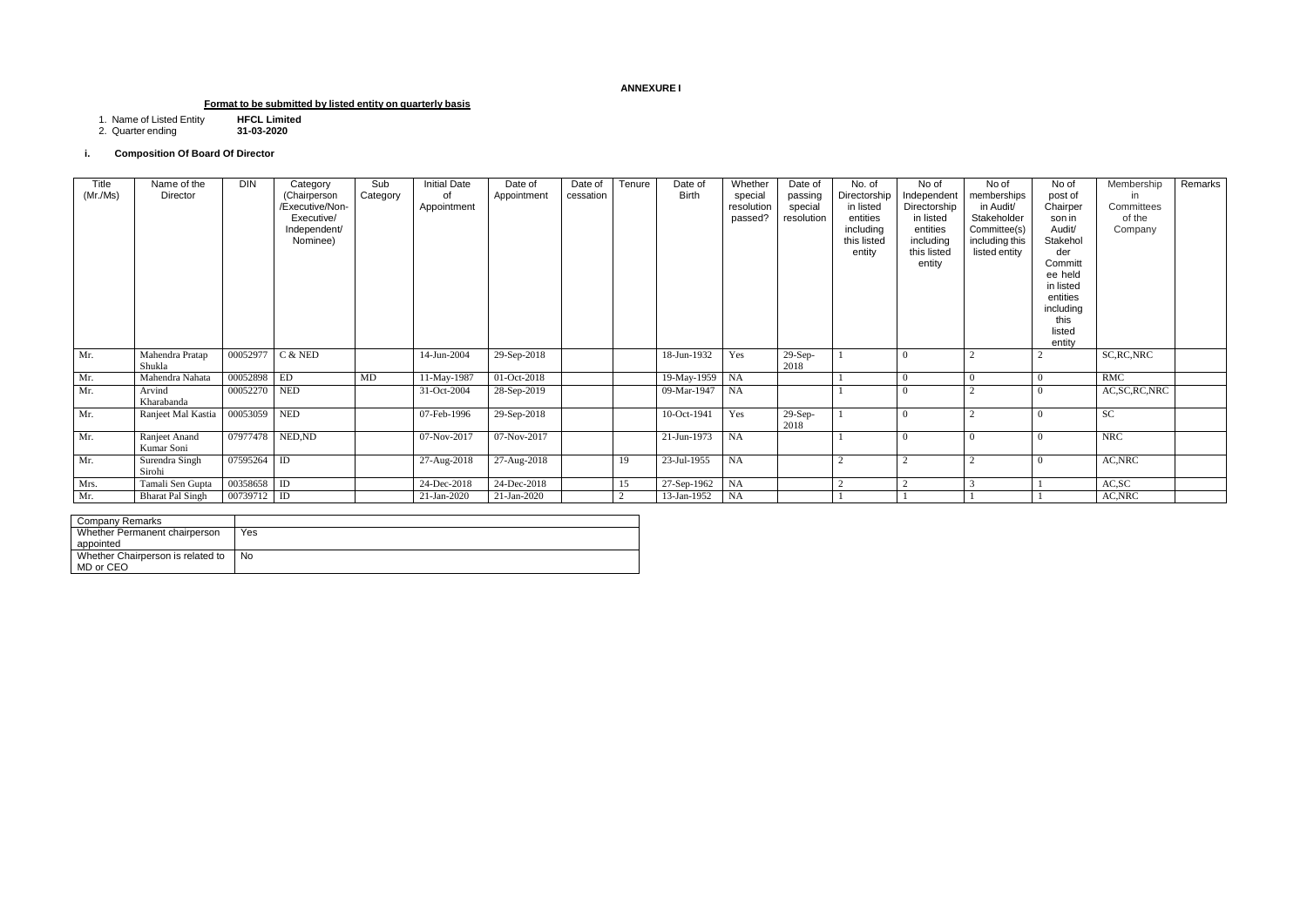## **ANNEXURE I**

# **Format to be submitted by listed entity on quarterly basis**

1. Name of Listed Entity **HFCL Limited**

2. Quarter ending **31-03-2020**

## **i. Composition Of Board Of Director**

| Company Remarks                   |     |
|-----------------------------------|-----|
| Whether Permanent chairperson     | Yes |
| appointed                         |     |
| Whether Chairperson is related to | No  |
| MD or CEO                         |     |

| Title<br>(Mr./Ms) | Name of the<br>Director     | <b>DIN</b>       | Category<br>(Chairperson<br>/Executive/Non-<br>Executive/<br>Independent/<br>Nominee) | Sub<br>Category | <b>Initial Date</b><br>of<br>Appointment | Date of<br>Appointment | Date of<br>cessation | Tenure | Date of<br><b>Birth</b> | Whether<br>special<br>resolution<br>passed? | Date of<br>passing<br>special<br>resolution | No. of<br>Directorship<br>in listed<br>entities<br>including<br>this listed<br>entity | No of<br>Independent<br>Directorship<br>in listed<br>entities<br>including<br>this listed<br>entity | No of<br>memberships<br>in Audit/<br>Stakeholder<br>Committee(s)<br>including this<br>listed entity | No of<br>post of<br>Chairper<br>son in<br>Audit/<br>Stakehol<br>der<br>Committ<br>ee held<br>in listed<br>entities<br>including<br>this<br>listed<br>entity | Membership<br>in<br>Committees<br>of the<br>Company | Remarks |
|-------------------|-----------------------------|------------------|---------------------------------------------------------------------------------------|-----------------|------------------------------------------|------------------------|----------------------|--------|-------------------------|---------------------------------------------|---------------------------------------------|---------------------------------------------------------------------------------------|-----------------------------------------------------------------------------------------------------|-----------------------------------------------------------------------------------------------------|-------------------------------------------------------------------------------------------------------------------------------------------------------------|-----------------------------------------------------|---------|
| Mr.               | Mahendra Pratap<br>Shukla   | 00052977         | C & NED                                                                               |                 | 14-Jun-2004                              | 29-Sep-2018            |                      |        | 18-Jun-1932             | Yes                                         | $29-Sep-$<br>2018                           |                                                                                       |                                                                                                     | $\Omega$                                                                                            |                                                                                                                                                             | SC, RC, NRC                                         |         |
| Mr.               | Mahendra Nahata             | 00052898         | ED                                                                                    | MD              | 11-May-1987                              | $01-Oct-2018$          |                      |        | 19-May-1959             | NA                                          |                                             |                                                                                       |                                                                                                     | $\Omega$                                                                                            |                                                                                                                                                             | RMC                                                 |         |
| Mr.               | Arvind<br>Kharabanda        | 00052270 NED     |                                                                                       |                 | 31-Oct-2004                              | 28-Sep-2019            |                      |        | 09-Mar-1947             | NA                                          |                                             |                                                                                       |                                                                                                     | $\bigcap$                                                                                           |                                                                                                                                                             | AC, SC, RC, NRC                                     |         |
| Mr.               | Ranjeet Mal Kastia          | 00053059 NED     |                                                                                       |                 | 07-Feb-1996                              | 29-Sep-2018            |                      |        | 10-Oct-1941             | Yes                                         | 29-Sep-<br>2018                             |                                                                                       |                                                                                                     |                                                                                                     |                                                                                                                                                             | <b>SC</b>                                           |         |
| Mr.               | Ranjeet Anand<br>Kumar Soni | 07977478 NED, ND |                                                                                       |                 | 07-Nov-2017                              | 07-Nov-2017            |                      |        | $21-Jun-1973$           | <b>NA</b>                                   |                                             |                                                                                       |                                                                                                     | $\Omega$                                                                                            |                                                                                                                                                             | <b>NRC</b>                                          |         |
| Mr.               | Surendra Singh<br>Sirohi    | 07595264 ID      |                                                                                       |                 | 27-Aug-2018                              | 27-Aug-2018            |                      | 19     | 23-Jul-1955             | NA                                          |                                             |                                                                                       |                                                                                                     |                                                                                                     |                                                                                                                                                             | AC, NRC                                             |         |
| Mrs.              | Tamali Sen Gupta            | 00358658 ID      |                                                                                       |                 | 24-Dec-2018                              | 24-Dec-2018            |                      | 15     | 27-Sep-1962             | NA                                          |                                             |                                                                                       |                                                                                                     |                                                                                                     |                                                                                                                                                             | AC, SC                                              |         |
| Mr.               | <b>Bharat Pal Singh</b>     | 00739712 ID      |                                                                                       |                 | 21-Jan-2020                              | 21-Jan-2020            |                      |        | 13-Jan-1952             | <b>NA</b>                                   |                                             |                                                                                       |                                                                                                     |                                                                                                     |                                                                                                                                                             | AC, NRC                                             |         |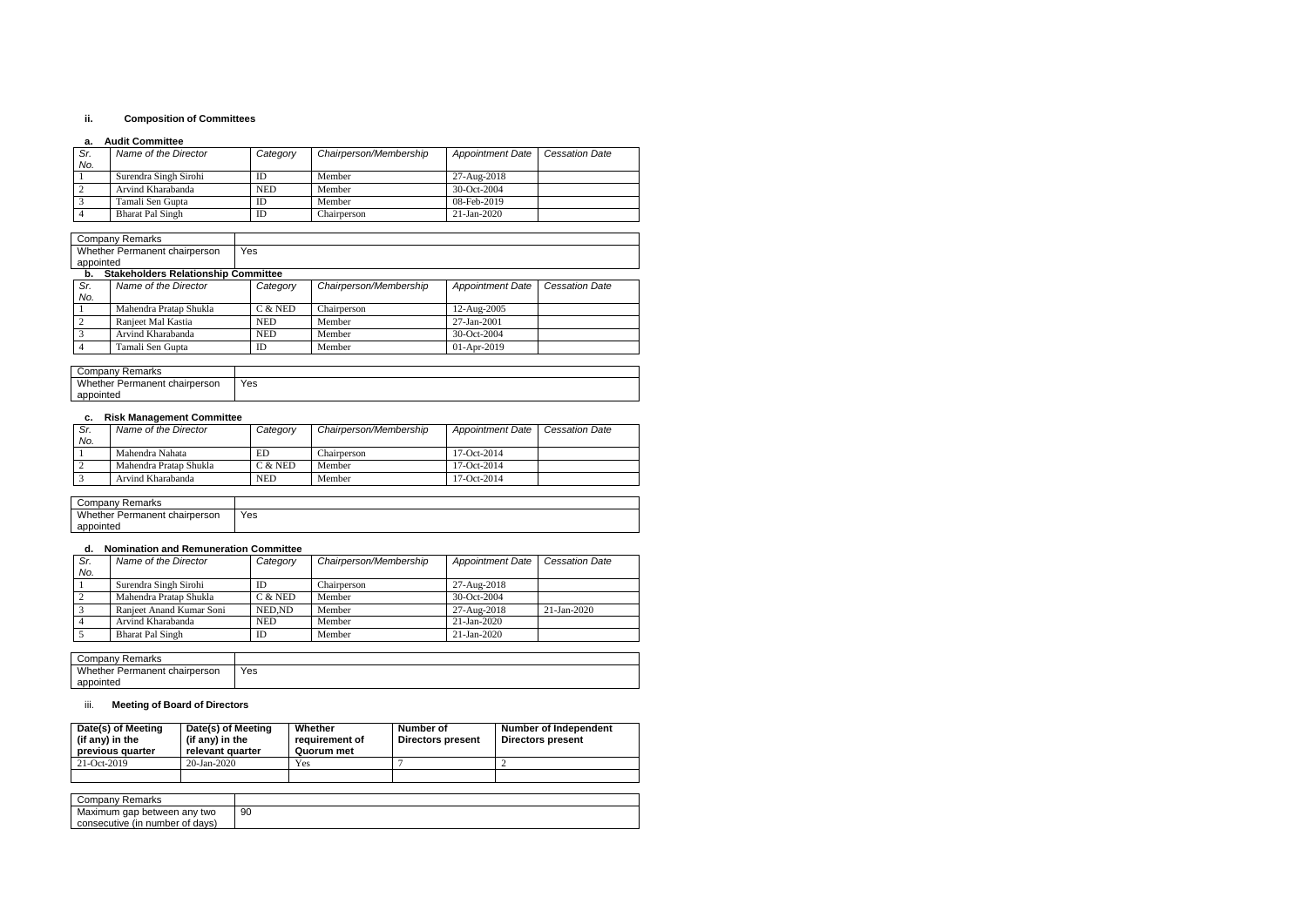#### **ii. Composition of Committees**

#### **a. Audit Committee**

| Sr. | Name of the Director    | Category | Chairperson/Membership | <b>Appointment Date</b> | <b>Cessation Date</b> |
|-----|-------------------------|----------|------------------------|-------------------------|-----------------------|
| No. |                         |          |                        |                         |                       |
|     | Surendra Singh Sirohi   | ID       | Member                 | 27-Aug-2018             |                       |
|     | Arvind Kharabanda       | NED      | Member                 | $30 - Oct - 2004$       |                       |
|     | Tamali Sen Gupta        | ID       | Member                 | 08-Feb-2019             |                       |
|     | <b>Bharat Pal Singh</b> | ID       | Chairperson            | $21 - Jan - 2020$       |                       |

| Jompanv<br>Remarks               |     |
|----------------------------------|-----|
| Whether Permanent<br>chairperson | Yes |
| appointed                        |     |

#### **b. Stakeholders Relationship Committee**

| Sr.<br>No. | Name of the Director   | Category   | Chairperson/Membership | <b>Appointment Date</b> | <b>Cessation Date</b> |
|------------|------------------------|------------|------------------------|-------------------------|-----------------------|
|            | Mahendra Pratap Shukla | $C &$ NED  | Chairperson            | $12$ -Aug- $2005$       |                       |
|            | Ranjeet Mal Kastia     | <b>NED</b> | Member                 | 27-Jan-2001             |                       |
|            | Arvind Kharabanda      | <b>NED</b> | Member                 | $30$ -Oct-2004          |                       |
|            | Tamali Sen Gupta       | ID         | Member                 | $01-Apr-2019$           |                       |

| Company<br>Remarks                      |     |
|-----------------------------------------|-----|
| Whether i<br>: chairperson<br>Permanent | Yes |
| appointed                               |     |

## **c. Risk Management Committee**

| Sr. | Name of the Director   | Category   | Chairperson/Membership | <b>Appointment Date</b> | <b>Cessation Date</b> |
|-----|------------------------|------------|------------------------|-------------------------|-----------------------|
| No. |                        |            |                        |                         |                       |
|     | Mahendra Nahata        | ED         | Chairperson            | 17-Oct-2014             |                       |
|     | Mahendra Pratap Shukla | C & NED    | Member                 | 17-Oct-2014             |                       |
|     | Arvind Kharabanda      | <b>NED</b> | Member                 | $17-Oct-2014$           |                       |

| Company<br>Remarks                 |     |
|------------------------------------|-----|
| Whether Permanent<br>t chairperson | Yes |
| appointed                          |     |

## **d. Nomination and Remuneration Committee**

| Chairperson/Membership<br><b>Appointment Date</b> | <b>Cessation Date</b> |
|---------------------------------------------------|-----------------------|
|                                                   |                       |
| 27-Aug-2018                                       |                       |
| 30-Oct-2004                                       |                       |
| 27-Aug-2018                                       | 21-Jan-2020           |
| 21-Jan-2020                                       |                       |
| 21-Jan-2020                                       |                       |
|                                                   |                       |

| ' ompany۔<br>' Remarks                |     |
|---------------------------------------|-----|
| Wh<br>nether<br>Permanent chairperson | Yes |
| appointed                             |     |

## iii. **Meeting of Board of Directors**

| Date(s) of Meeting<br>(if any) in the<br>previous quarter | Date(s) of Meeting<br>(if any) in the<br>relevant quarter |    | Whether<br>requirement of<br>Quorum met | Number of<br><b>Directors present</b> | Number of Independent<br><b>Directors present</b> |
|-----------------------------------------------------------|-----------------------------------------------------------|----|-----------------------------------------|---------------------------------------|---------------------------------------------------|
| 21-Oct-2019                                               | 20-Jan-2020                                               |    | Yes                                     |                                       |                                                   |
|                                                           |                                                           |    |                                         |                                       |                                                   |
|                                                           |                                                           |    |                                         |                                       |                                                   |
| Company Remarks                                           |                                                           |    |                                         |                                       |                                                   |
| Maximum gap between any two                               |                                                           | 90 |                                         |                                       |                                                   |

consecutive (in number of days)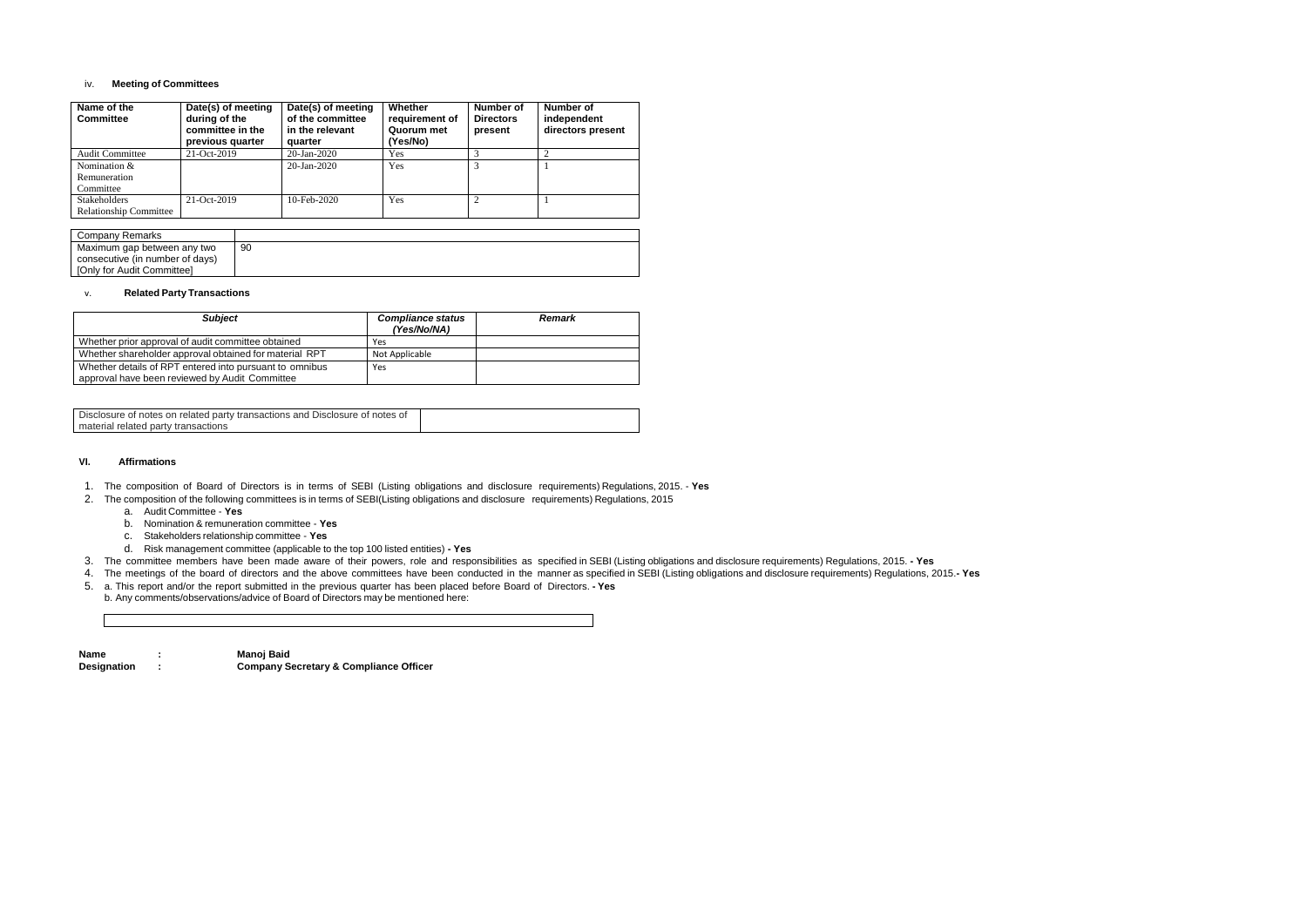#### iv. **Meeting of Committees**

| Name of the<br><b>Committee</b> | Date(s) of meeting<br>during of the<br>committee in the<br>previous quarter | Date(s) of meeting<br>of the committee<br>in the relevant<br>quarter | Whether<br>requirement of<br>Quorum met<br>(Yes/No) | Number of<br><b>Directors</b><br>present | Number of<br>independent<br>directors present |
|---------------------------------|-----------------------------------------------------------------------------|----------------------------------------------------------------------|-----------------------------------------------------|------------------------------------------|-----------------------------------------------|
| <b>Audit Committee</b>          | 21-Oct-2019                                                                 | 20-Jan-2020                                                          | Yes                                                 |                                          |                                               |
| Nomination &                    |                                                                             | $20 - Jan - 2020$                                                    | <b>Yes</b>                                          |                                          |                                               |
| Remuneration                    |                                                                             |                                                                      |                                                     |                                          |                                               |
| Committee                       |                                                                             |                                                                      |                                                     |                                          |                                               |
| <b>Stakeholders</b>             | $21 - Oct-2019$                                                             | $10$ -Feb-2020                                                       | Yes                                                 |                                          |                                               |
| <b>Relationship Committee</b>   |                                                                             |                                                                      |                                                     |                                          |                                               |

| Company Remarks                 |    |
|---------------------------------|----|
| Maximum gap between any two     | 90 |
| consecutive (in number of days) |    |
| [Only for Audit Committee]      |    |

#### v. **Related Party Transactions**

| <b>Subject</b>                                          | <b>Compliance status</b><br>(Yes/No/NA) | <b>Remark</b> |
|---------------------------------------------------------|-----------------------------------------|---------------|
| Whether prior approval of audit committee obtained      | Yes                                     |               |
| Whether shareholder approval obtained for material RPT  | Not Applicable                          |               |
| Whether details of RPT entered into pursuant to omnibus | Yes                                     |               |
| approval have been reviewed by Audit Committee          |                                         |               |

| Disclosure of notes on related party transactions and Disclosure of notes of |  |
|------------------------------------------------------------------------------|--|
| material related party transactions                                          |  |

#### **VI. Affirmations**

- 1. The composition of Board of Directors is in terms of SEBI (Listing obligations and disclosure requirements) Regulations, 2015. **Yes**
- 2. The composition of the following committees is in terms of SEBI(Listing obligations and disclosure requirements) Regulations, 2015
	- a. Audit Committee **Yes**
	- b. Nomination & remuneration committee **Yes**
	- c. Stakeholders relationship committee **Yes**
	- d. Risk management committee (applicable to the top 100 listed entities) **- Yes**
- 3. The committee members have been made aware of their powers, role and responsibilities as specified in SEBI (Listing obligations and disclosure requirements) Regulations, 2015. **- Yes**
- 4. The meetings of the board of directors and the above committees have been conducted in the manner as specified in SEBI (Listing obligations and disclosure requirements) Regulations, 2015.**- Yes**
- 5. a. This report and/or the report submitted in the previous quarter has been placed before Board of Directors. **- Yes** b. Any comments/observations/advice of Board of Directors may be mentioned here:

| <b>Name</b>        | Manoj Baid                                        |
|--------------------|---------------------------------------------------|
| <b>Designation</b> | <b>Company Secretary &amp; Compliance Officer</b> |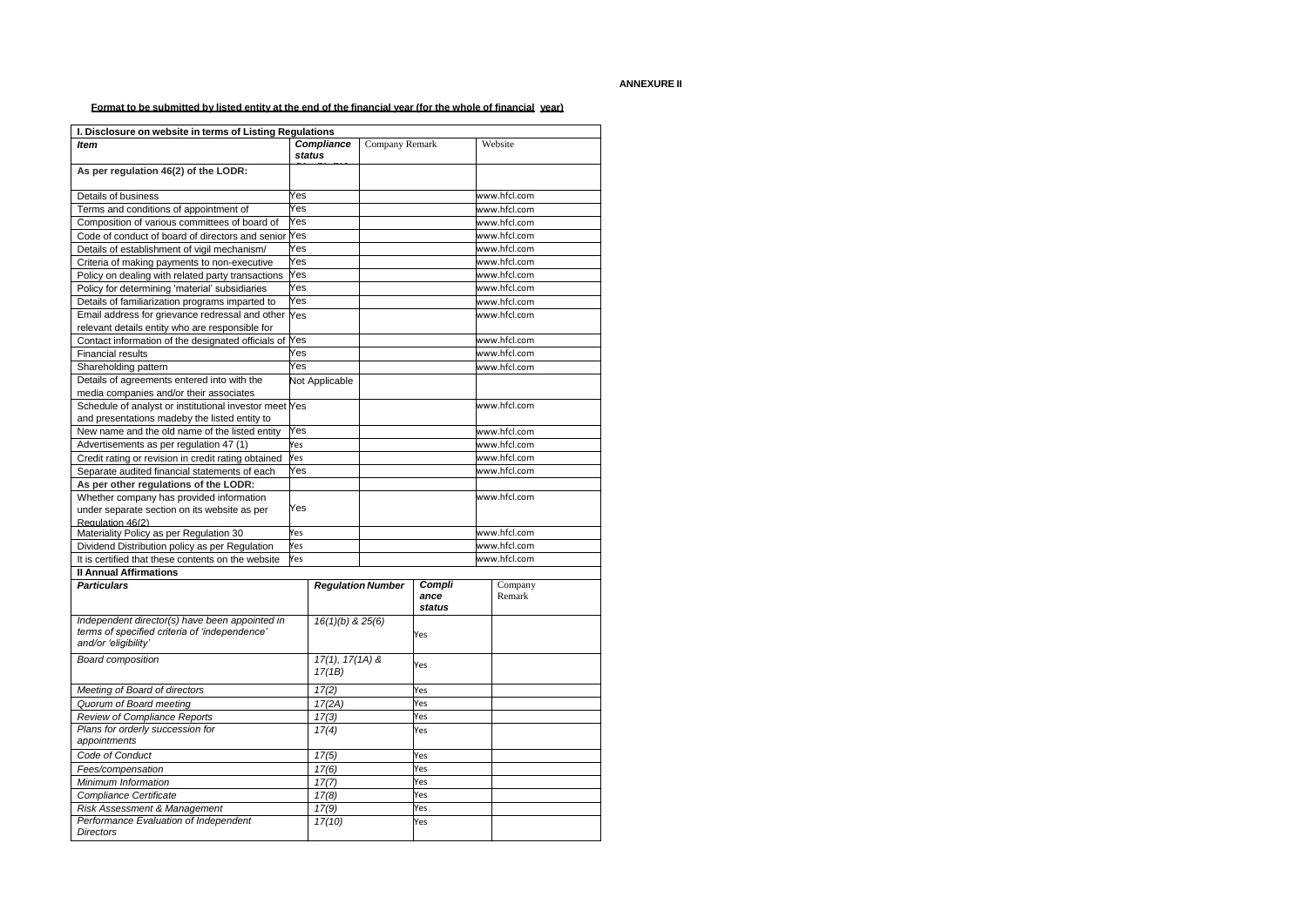## **ANNEXURE II**

Format to be submitted by listed entity at the end of the financial year (for the whole of financial year)

| I. Disclosure on website in terms of Listing Regulations                                                                |     |                             |  |                |              |              |  |
|-------------------------------------------------------------------------------------------------------------------------|-----|-----------------------------|--|----------------|--------------|--------------|--|
| <b>Item</b>                                                                                                             |     | <b>Compliance</b>           |  | Company Remark |              | Website      |  |
|                                                                                                                         |     | <b>status</b>               |  |                |              |              |  |
| As per regulation 46(2) of the LODR:                                                                                    |     |                             |  |                |              |              |  |
| Details of business                                                                                                     | Yes |                             |  |                |              | www.hfcl.com |  |
| Terms and conditions of appointment of                                                                                  | Yes |                             |  |                |              | www.hfcl.com |  |
| Composition of various committees of board of                                                                           | Yes |                             |  |                |              | www.hfcl.com |  |
| Code of conduct of board of directors and senior                                                                        | Yes |                             |  |                |              | www.hfcl.com |  |
| Details of establishment of vigil mechanism/                                                                            | Yes |                             |  |                |              | www.hfcl.com |  |
| Criteria of making payments to non-executive                                                                            | Yes |                             |  |                |              | www.hfcl.com |  |
| Policy on dealing with related party transactions                                                                       | Yes |                             |  |                |              | www.hfcl.com |  |
| Policy for determining 'material' subsidiaries                                                                          | Yes |                             |  |                |              | www.hfcl.com |  |
| Details of familiarization programs imparted to                                                                         | Yes |                             |  |                |              | www.hfcl.com |  |
| Email address for grievance redressal and other Yes                                                                     |     |                             |  | www.hfcl.com   |              |              |  |
| relevant details entity who are responsible for                                                                         |     |                             |  |                |              |              |  |
| Contact information of the designated officials of Yes                                                                  |     |                             |  |                |              | www.hfcl.com |  |
| <b>Financial results</b>                                                                                                | Yes |                             |  |                |              | www.hfcl.com |  |
| Shareholding pattern                                                                                                    | Yes |                             |  |                |              | www.hfcl.com |  |
| Details of agreements entered into with the                                                                             |     | Not Applicable              |  |                |              |              |  |
| media companies and/or their associates                                                                                 |     |                             |  |                |              |              |  |
| Schedule of analyst or institutional investor meet Yes                                                                  |     |                             |  |                |              | www.hfcl.com |  |
| and presentations madeby the listed entity to                                                                           |     |                             |  |                |              |              |  |
| New name and the old name of the listed entity                                                                          | Yes |                             |  |                |              | www.hfcl.com |  |
| Advertisements as per regulation 47 (1)                                                                                 | Yes |                             |  |                |              | www.hfcl.com |  |
| Credit rating or revision in credit rating obtained                                                                     | Yes |                             |  |                |              | www.hfcl.com |  |
| Separate audited financial statements of each<br>Yes                                                                    |     |                             |  | www.hfcl.com   |              |              |  |
| As per other regulations of the LODR:                                                                                   |     |                             |  |                |              |              |  |
| Whether company has provided information                                                                                |     |                             |  |                |              | www.hfcl.com |  |
| under separate section on its website as per                                                                            | Yes |                             |  |                |              |              |  |
| Regulation 46(2)                                                                                                        | Yes |                             |  |                |              | www.hfcl.com |  |
| Materiality Policy as per Regulation 30                                                                                 | Yes |                             |  |                | www.hfcl.com |              |  |
| Dividend Distribution policy as per Regulation<br>It is certified that these contents on the website                    | Yes |                             |  |                | www.hfcl.com |              |  |
|                                                                                                                         |     |                             |  |                |              |              |  |
| <b>Il Annual Affirmations</b><br><b>Particulars</b>                                                                     |     |                             |  | Compli         |              | Company      |  |
|                                                                                                                         |     | <b>Regulation Number</b>    |  | ance<br>status |              | Remark       |  |
|                                                                                                                         |     |                             |  |                |              |              |  |
| Independent director(s) have been appointed in<br>terms of specified criteria of 'independence'<br>and/or 'eligibility' |     | $16(1)(b)$ & $25(6)$        |  | Yes            |              |              |  |
| <b>Board composition</b>                                                                                                |     | $17(1), 17(1A)$ &<br>17(1B) |  | Yes            |              |              |  |
| Meeting of Board of directors                                                                                           |     | 17(2)                       |  | Yes            |              |              |  |
| Quorum of Board meeting                                                                                                 |     | 17(2A)                      |  | Yes            |              |              |  |
| Review of Compliance Reports                                                                                            |     | 17(3)                       |  | Yes            |              |              |  |
| Plans for orderly succession for<br>appointments                                                                        |     | 17(4)                       |  | Yes            |              |              |  |
| Code of Conduct                                                                                                         |     | 17(5)                       |  | Yes            |              |              |  |
| Fees/compensation                                                                                                       |     | 17(6)                       |  | Yes            |              |              |  |
| Minimum Information                                                                                                     |     | 17(7)                       |  | Yes            |              |              |  |
| <b>Compliance Certificate</b>                                                                                           |     | 17(8)                       |  | Yes            |              |              |  |
| Risk Assessment & Management                                                                                            |     | 17(9)                       |  | Yes            |              |              |  |
| Performance Evaluation of Independent<br><b>Directors</b>                                                               |     | 17(10)                      |  | Yes            |              |              |  |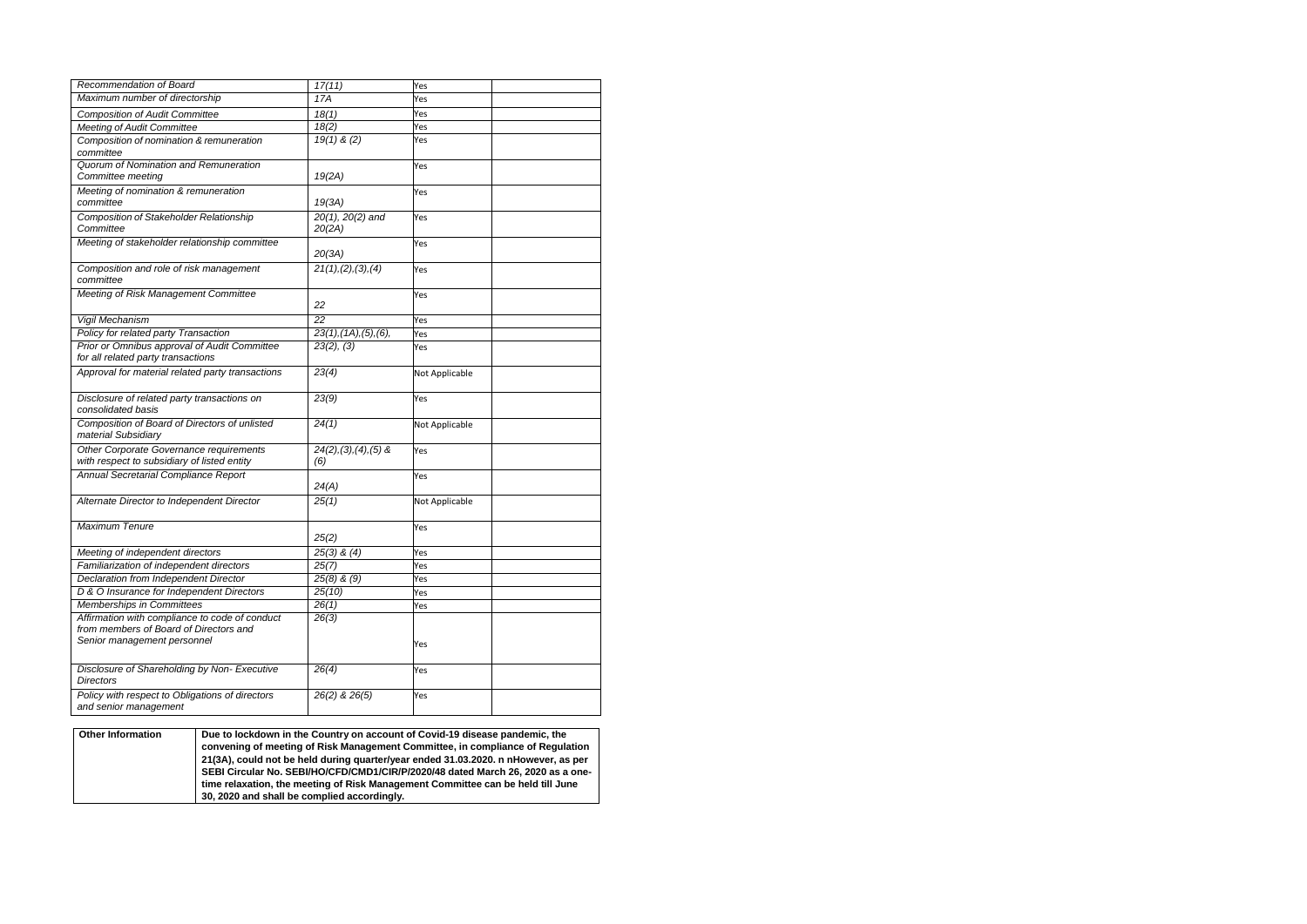| Recommendation of Board                          | 17(11)                   | Yes            |
|--------------------------------------------------|--------------------------|----------------|
| Maximum number of directorship                   | 17A                      | Yes            |
| <b>Composition of Audit Committee</b>            | 18(1)                    | Yes            |
| <b>Meeting of Audit Committee</b>                | 18(2)                    | Yes            |
| Composition of nomination & remuneration         | $19(1)$ & (2)            | Yes            |
| committee                                        |                          |                |
| Quorum of Nomination and Remuneration            |                          | Yes            |
| Committee meeting                                | 19(2A)                   |                |
| Meeting of nomination & remuneration             |                          | Yes            |
| committee                                        | 19(3A)                   |                |
| Composition of Stakeholder Relationship          | $20(1)$ , $20(2)$ and    | Yes            |
| Committee                                        | 20(2A)                   |                |
| Meeting of stakeholder relationship committee    |                          | Yes            |
|                                                  | 20(3A)                   |                |
| Composition and role of risk management          | 21(1), (2), (3), (4)     | Yes            |
| committee                                        |                          |                |
| Meeting of Risk Management Committee             |                          | Yes            |
|                                                  | 22                       |                |
| Vigil Mechanism                                  | 22                       | Yes            |
| Policy for related party Transaction             | 23(1), (1A), (5), (6),   | Yes            |
| Prior or Omnibus approval of Audit Committee     | 23(2), (3)               | Yes            |
| for all related party transactions               |                          |                |
| Approval for material related party transactions | 23(4)                    | Not Applicable |
|                                                  |                          |                |
| Disclosure of related party transactions on      | $\overline{2}3(9)$       | Yes            |
| consolidated basis                               |                          |                |
| Composition of Board of Directors of unlisted    | 24(1)                    | Not Applicable |
| material Subsidiary                              |                          |                |
| Other Corporate Governance requirements          | $24(2), (3), (4), (5)$ & | Yes            |
| with respect to subsidiary of listed entity      | (6)                      |                |
| Annual Secretarial Compliance Report             |                          | Yes            |
|                                                  | 24(A)                    |                |
| Alternate Director to Independent Director       | 25(1)                    | Not Applicable |
|                                                  |                          |                |
| <b>Maximum Tenure</b>                            |                          | Yes            |
|                                                  | 25(2)                    |                |
| Meeting of independent directors                 | $25(3)$ & $(4)$          | Yes            |
| Familiarization of independent directors         | 25(7)                    | Yes            |
| Declaration from Independent Director            | $25(8)$ & $(9)$          | Yes            |
| D & O Insurance for Independent Directors        | 25(10)                   | Yes            |
| Memberships in Committees                        | 26(1)                    | Yes            |
| Affirmation with compliance to code of conduct   | 26(3)                    |                |
| from members of Board of Directors and           |                          |                |
| Senior management personnel                      |                          |                |
|                                                  |                          | Yes            |
| Disclosure of Shareholding by Non- Executive     | 26(4)                    |                |
| <b>Directors</b>                                 |                          | Yes            |
| Policy with respect to Obligations of directors  | 26(2) & 26(5)            | Yes            |
| and senior management                            |                          |                |
|                                                  |                          |                |

| <b>Other Information</b> | Due to lockdown in the Country on account of Covid-19 disease pandemic, the        |
|--------------------------|------------------------------------------------------------------------------------|
|                          | convening of meeting of Risk Management Committee, in compliance of Regulation     |
|                          | 21(3A), could not be held during quarter/year ended 31.03.2020. n nHowever, as per |
|                          | SEBI Circular No. SEBI/HO/CFD/CMD1/CIR/P/2020/48 dated March 26, 2020 as a one-    |
|                          | time relaxation, the meeting of Risk Management Committee can be held till June    |
|                          | 30, 2020 and shall be complied accordingly.                                        |